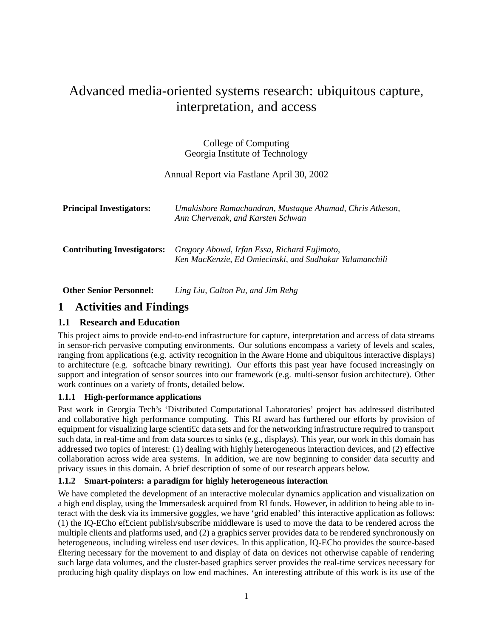# Advanced media-oriented systems research: ubiquitous capture, interpretation, and access

College of Computing Georgia Institute of Technology

Annual Report via Fastlane April 30, 2002

| <b>Principal Investigators:</b>    | Umakishore Ramachandran, Mustaque Ahamad, Chris Atkeson,<br>Ann Chervenak, and Karsten Schwan           |
|------------------------------------|---------------------------------------------------------------------------------------------------------|
| <b>Contributing Investigators:</b> | Gregory Abowd, Irfan Essa, Richard Fujimoto,<br>Ken MacKenzie, Ed Omiecinski, and Sudhakar Yalamanchili |

**Other Senior Personnel:** *Ling Liu, Calton Pu, and Jim Rehg*

# **1 Activities and Findings**

# **1.1 Research and Education**

This project aims to provide end-to-end infrastructure for capture, interpretation and access of data streams in sensor-rich pervasive computing environments. Our solutions encompass a variety of levels and scales, ranging from applications (e.g. activity recognition in the Aware Home and ubiquitous interactive displays) to architecture (e.g. softcache binary rewriting). Our efforts this past year have focused increasingly on support and integration of sensor sources into our framework (e.g. multi-sensor fusion architecture). Other work continues on a variety of fronts, detailed below.

#### **1.1.1 High-performance applications**

Past work in Georgia Tech's 'Distributed Computational Laboratories' project has addressed distributed and collaborative high performance computing. This RI award has furthered our efforts by provision of equipment for visualizing large scienti£c data sets and for the networking infrastructure required to transport such data, in real-time and from data sources to sinks (e.g., displays). This year, our work in this domain has addressed two topics of interest: (1) dealing with highly heterogeneous interaction devices, and (2) effective collaboration across wide area systems. In addition, we are now beginning to consider data security and privacy issues in this domain. A brief description of some of our research appears below.

#### **1.1.2 Smart-pointers: a paradigm for highly heterogeneous interaction**

We have completed the development of an interactive molecular dynamics application and visualization on a high end display, using the Immersadesk acquired from RI funds. However, in addition to being able to interact with the desk via its immersive goggles, we have 'grid enabled' this interactive application as follows: (1) the IQ-ECho ef£cient publish/subscribe middleware is used to move the data to be rendered across the multiple clients and platforms used, and (2) a graphics server provides data to be rendered synchronously on heterogeneous, including wireless end user devices. In this application, IQ-ECho provides the source-based £ltering necessary for the movement to and display of data on devices not otherwise capable of rendering such large data volumes, and the cluster-based graphics server provides the real-time services necessary for producing high quality displays on low end machines. An interesting attribute of this work is its use of the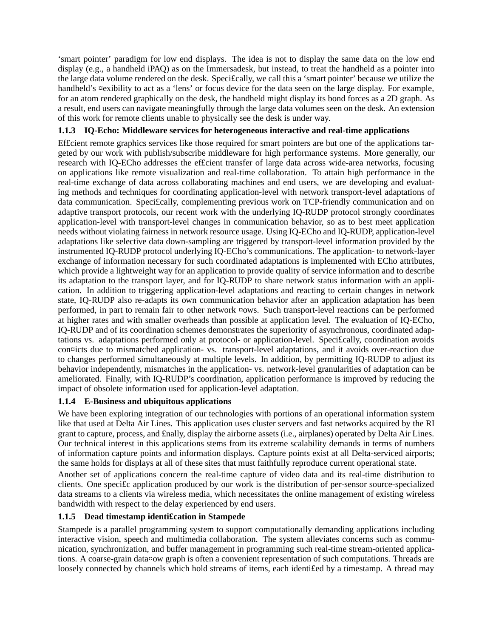'smart pointer' paradigm for low end displays. The idea is not to display the same data on the low end display (e.g., a handheld iPAQ) as on the Immersadesk, but instead, to treat the handheld as a pointer into the large data volume rendered on the desk. Speci£cally, we call this a 'smart pointer' because we utilize the handheld's ¤exibility to act as a 'lens' or focus device for the data seen on the large display. For example, for an atom rendered graphically on the desk, the handheld might display its bond forces as a 2D graph. As a result, end users can navigate meaningfully through the large data volumes seen on the desk. An extension of this work for remote clients unable to physically see the desk is under way.

### **1.1.3 IQ-Echo: Middleware services for heterogeneous interactive and real-time applications**

Efficient remote graphics services like those required for smart pointers are but one of the applications targeted by our work with publish/subscribe middleware for high performance systems. More generally, our research with IQ-ECho addresses the ef£cient transfer of large data across wide-area networks, focusing on applications like remote visualization and real-time collaboration. To attain high performance in the real-time exchange of data across collaborating machines and end users, we are developing and evaluating methods and techniques for coordinating application-level with network transport-level adaptations of data communication. Speci£cally, complementing previous work on TCP-friendly communication and on adaptive transport protocols, our recent work with the underlying IQ-RUDP protocol strongly coordinates application-level with transport-level changes in communication behavior, so as to best meet application needs without violating fairness in network resource usage. Using IQ-ECho and IQ-RUDP, application-level adaptations like selective data down-sampling are triggered by transport-level information provided by the instrumented IQ-RUDP protocol underlying IQ-ECho's communications. The application- to network-layer exchange of information necessary for such coordinated adaptations is implemented with ECho attributes, which provide a lightweight way for an application to provide quality of service information and to describe its adaptation to the transport layer, and for IQ-RUDP to share network status information with an application. In addition to triggering application-level adaptations and reacting to certain changes in network state, IQ-RUDP also re-adapts its own communication behavior after an application adaptation has been performed, in part to remain fair to other network ¤ows. Such transport-level reactions can be performed at higher rates and with smaller overheads than possible at application level. The evaluation of IQ-ECho, IQ-RUDP and of its coordination schemes demonstrates the superiority of asynchronous, coordinated adaptations vs. adaptations performed only at protocol- or application-level. Speci£cally, coordination avoids con¤icts due to mismatched application- vs. transport-level adaptations, and it avoids over-reaction due to changes performed simultaneously at multiple levels. In addition, by permitting IQ-RUDP to adjust its behavior independently, mismatches in the application- vs. network-level granularities of adaptation can be ameliorated. Finally, with IQ-RUDP's coordination, application performance is improved by reducing the impact of obsolete information used for application-level adaptation.

# **1.1.4 E-Business and ubiquitous applications**

We have been exploring integration of our technologies with portions of an operational information system like that used at Delta Air Lines. This application uses cluster servers and fast networks acquired by the RI grant to capture, process, and £nally, display the airborne assets (i.e., airplanes) operated by Delta Air Lines. Our technical interest in this applications stems from its extreme scalability demands in terms of numbers of information capture points and information displays. Capture points exist at all Delta-serviced airports; the same holds for displays at all of these sites that must faithfully reproduce current operational state.

Another set of applications concern the real-time capture of video data and its real-time distribution to clients. One speci£c application produced by our work is the distribution of per-sensor source-specialized data streams to a clients via wireless media, which necessitates the online management of existing wireless bandwidth with respect to the delay experienced by end users.

# **1.1.5 Dead timestamp identi£cation in Stampede**

Stampede is a parallel programming system to support computationally demanding applications including interactive vision, speech and multimedia collaboration. The system alleviates concerns such as communication, synchronization, and buffer management in programming such real-time stream-oriented applications. A coarse-grain data¤ow graph is often a convenient representation of such computations. Threads are loosely connected by channels which hold streams of items, each identi£ed by a timestamp. A thread may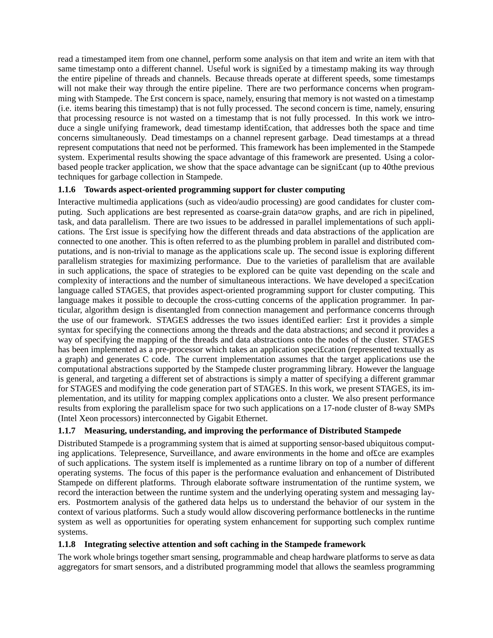read a timestamped item from one channel, perform some analysis on that item and write an item with that same timestamp onto a different channel. Useful work is signi£ed by a timestamp making its way through the entire pipeline of threads and channels. Because threads operate at different speeds, some timestamps will not make their way through the entire pipeline. There are two performance concerns when programming with Stampede. The £rst concern is space, namely, ensuring that memory is not wasted on a timestamp (i.e. items bearing this timestamp) that is not fully processed. The second concern is time, namely, ensuring that processing resource is not wasted on a timestamp that is not fully processed. In this work we introduce a single unifying framework, dead timestamp identification, that addresses both the space and time concerns simultaneously. Dead timestamps on a channel represent garbage. Dead timestamps at a thread represent computations that need not be performed. This framework has been implemented in the Stampede system. Experimental results showing the space advantage of this framework are presented. Using a colorbased people tracker application, we show that the space advantage can be signi£cant (up to 40the previous techniques for garbage collection in Stampede.

# **1.1.6 Towards aspect-oriented programming support for cluster computing**

Interactive multimedia applications (such as video/audio processing) are good candidates for cluster computing. Such applications are best represented as coarse-grain data¤ow graphs, and are rich in pipelined, task, and data parallelism. There are two issues to be addressed in parallel implementations of such applications. The £rst issue is specifying how the different threads and data abstractions of the application are connected to one another. This is often referred to as the plumbing problem in parallel and distributed computations, and is non-trivial to manage as the applications scale up. The second issue is exploring different parallelism strategies for maximizing performance. Due to the varieties of parallelism that are available in such applications, the space of strategies to be explored can be quite vast depending on the scale and complexity of interactions and the number of simultaneous interactions. We have developed a speci£cation language called STAGES, that provides aspect-oriented programming support for cluster computing. This language makes it possible to decouple the cross-cutting concerns of the application programmer. In particular, algorithm design is disentangled from connection management and performance concerns through the use of our framework. STAGES addresses the two issues identi£ed earlier: £rst it provides a simple syntax for specifying the connections among the threads and the data abstractions; and second it provides a way of specifying the mapping of the threads and data abstractions onto the nodes of the cluster. STAGES has been implemented as a pre-processor which takes an application specification (represented textually as a graph) and generates C code. The current implementation assumes that the target applications use the computational abstractions supported by the Stampede cluster programming library. However the language is general, and targeting a different set of abstractions is simply a matter of specifying a different grammar for STAGES and modifying the code generation part of STAGES. In this work, we present STAGES, its implementation, and its utility for mapping complex applications onto a cluster. We also present performance results from exploring the parallelism space for two such applications on a 17-node cluster of 8-way SMPs (Intel Xeon processors) interconnected by Gigabit Ethernet.

# **1.1.7 Measuring, understanding, and improving the performance of Distributed Stampede**

Distributed Stampede is a programming system that is aimed at supporting sensor-based ubiquitous computing applications. Telepresence, Surveillance, and aware environments in the home and of£ce are examples of such applications. The system itself is implemented as a runtime library on top of a number of different operating systems. The focus of this paper is the performance evaluation and enhancement of Distributed Stampede on different platforms. Through elaborate software instrumentation of the runtime system, we record the interaction between the runtime system and the underlying operating system and messaging layers. Postmortem analysis of the gathered data helps us to understand the behavior of our system in the context of various platforms. Such a study would allow discovering performance bottlenecks in the runtime system as well as opportunities for operating system enhancement for supporting such complex runtime systems.

#### **1.1.8 Integrating selective attention and soft caching in the Stampede framework**

The work whole brings together smart sensing, programmable and cheap hardware platforms to serve as data aggregators for smart sensors, and a distributed programming model that allows the seamless programming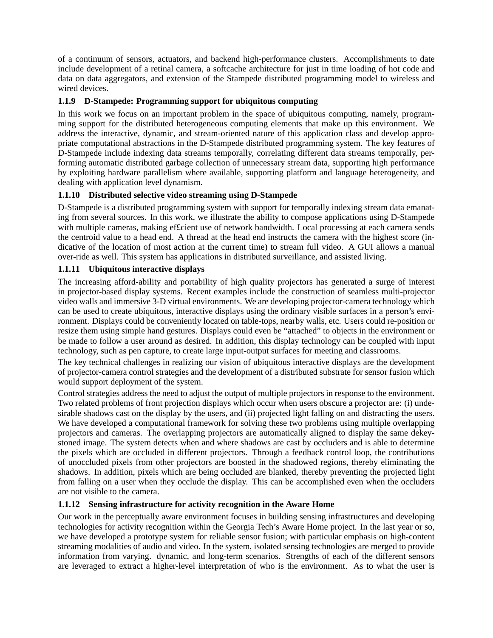of a continuum of sensors, actuators, and backend high-performance clusters. Accomplishments to date include development of a retinal camera, a softcache architecture for just in time loading of hot code and data on data aggregators, and extension of the Stampede distributed programming model to wireless and wired devices.

### **1.1.9 D-Stampede: Programming support for ubiquitous computing**

In this work we focus on an important problem in the space of ubiquitous computing, namely, programming support for the distributed heterogeneous computing elements that make up this environment. We address the interactive, dynamic, and stream-oriented nature of this application class and develop appropriate computational abstractions in the D-Stampede distributed programming system. The key features of D-Stampede include indexing data streams temporally, correlating different data streams temporally, performing automatic distributed garbage collection of unnecessary stream data, supporting high performance by exploiting hardware parallelism where available, supporting platform and language heterogeneity, and dealing with application level dynamism.

# **1.1.10 Distributed selective video streaming using D-Stampede**

D-Stampede is a distributed programming system with support for temporally indexing stream data emanating from several sources. In this work, we illustrate the ability to compose applications using D-Stampede with multiple cameras, making efficient use of network bandwidth. Local processing at each camera sends the centroid value to a head end. A thread at the head end instructs the camera with the highest score (indicative of the location of most action at the current time) to stream full video. A GUI allows a manual over-ride as well. This system has applications in distributed surveillance, and assisted living.

#### **1.1.11 Ubiquitous interactive displays**

The increasing afford-ability and portability of high quality projectors has generated a surge of interest in projector-based display systems. Recent examples include the construction of seamless multi-projector video walls and immersive 3-D virtual environments. We are developing projector-camera technology which can be used to create ubiquitous, interactive displays using the ordinary visible surfaces in a person's environment. Displays could be conveniently located on table-tops, nearby walls, etc. Users could re-position or resize them using simple hand gestures. Displays could even be "attached" to objects in the environment or be made to follow a user around as desired. In addition, this display technology can be coupled with input technology, such as pen capture, to create large input-output surfaces for meeting and classrooms.

The key technical challenges in realizing our vision of ubiquitous interactive displays are the development of projector-camera control strategies and the development of a distributed substrate for sensor fusion which would support deployment of the system.

Control strategies address the need to adjust the output of multiple projectors in response to the environment. Two related problems of front projection displays which occur when users obscure a projector are: (i) undesirable shadows cast on the display by the users, and (ii) projected light falling on and distracting the users. We have developed a computational framework for solving these two problems using multiple overlapping projectors and cameras. The overlapping projectors are automatically aligned to display the same dekeystoned image. The system detects when and where shadows are cast by occluders and is able to determine the pixels which are occluded in different projectors. Through a feedback control loop, the contributions of unoccluded pixels from other projectors are boosted in the shadowed regions, thereby eliminating the shadows. In addition, pixels which are being occluded are blanked, thereby preventing the projected light from falling on a user when they occlude the display. This can be accomplished even when the occluders are not visible to the camera.

#### **1.1.12 Sensing infrastructure for activity recognition in the Aware Home**

Our work in the perceptually aware environment focuses in building sensing infrastructures and developing technologies for activity recognition within the Georgia Tech's Aware Home project. In the last year or so, we have developed a prototype system for reliable sensor fusion; with particular emphasis on high-content streaming modalities of audio and video. In the system, isolated sensing technologies are merged to provide information from varying. dynamic, and long-term scenarios. Strengths of each of the different sensors are leveraged to extract a higher-level interpretation of who is the environment. As to what the user is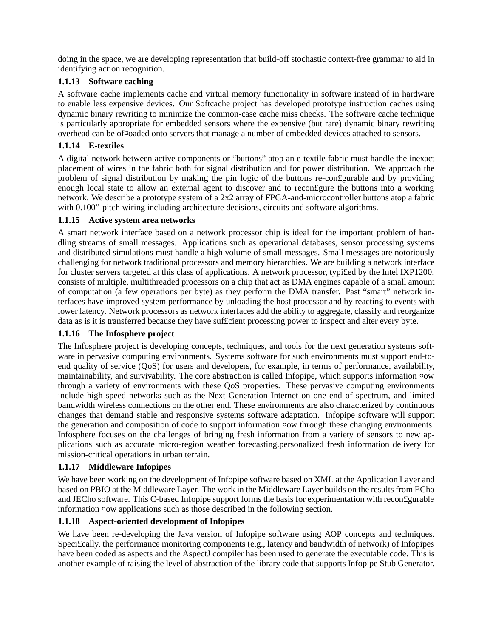doing in the space, we are developing representation that build-off stochastic context-free grammar to aid in identifying action recognition.

#### **1.1.13 Software caching**

A software cache implements cache and virtual memory functionality in software instead of in hardware to enable less expensive devices. Our Softcache project has developed prototype instruction caches using dynamic binary rewriting to minimize the common-case cache miss checks. The software cache technique is particularly appropriate for embedded sensors where the expensive (but rare) dynamic binary rewriting overhead can be of¤oaded onto servers that manage a number of embedded devices attached to sensors.

### **1.1.14 E-textiles**

A digital network between active components or "buttons" atop an e-textile fabric must handle the inexact placement of wires in the fabric both for signal distribution and for power distribution. We approach the problem of signal distribution by making the pin logic of the buttons re-con£gurable and by providing enough local state to allow an external agent to discover and to reconfigure the buttons into a working network. We describe a prototype system of a 2x2 array of FPGA-and-microcontroller buttons atop a fabric with 0.100"-pitch wiring including architecture decisions, circuits and software algorithms.

#### **1.1.15 Active system area networks**

A smart network interface based on a network processor chip is ideal for the important problem of handling streams of small messages. Applications such as operational databases, sensor processing systems and distributed simulations must handle a high volume of small messages. Small messages are notoriously challenging for network traditional processors and memory hierarchies. We are building a network interface for cluster servers targeted at this class of applications. A network processor, typi£ed by the Intel IXP1200, consists of multiple, multithreaded processors on a chip that act as DMA engines capable of a small amount of computation (a few operations per byte) as they perform the DMA transfer. Past "smart" network interfaces have improved system performance by unloading the host processor and by reacting to events with lower latency. Network processors as network interfaces add the ability to aggregate, classify and reorganize data as is it is transferred because they have suf£cient processing power to inspect and alter every byte.

#### **1.1.16 The Infosphere project**

The Infosphere project is developing concepts, techniques, and tools for the next generation systems software in pervasive computing environments. Systems software for such environments must support end-toend quality of service (QoS) for users and developers, for example, in terms of performance, availability, maintainability, and survivability. The core abstraction is called Infopipe, which supports information ¤ow through a variety of environments with these QoS properties. These pervasive computing environments include high speed networks such as the Next Generation Internet on one end of spectrum, and limited bandwidth wireless connections on the other end. These environments are also characterized by continuous changes that demand stable and responsive systems software adaptation. Infopipe software will support the generation and composition of code to support information ¤ow through these changing environments. Infosphere focuses on the challenges of bringing fresh information from a variety of sensors to new applications such as accurate micro-region weather forecasting.personalized fresh information delivery for mission-critical operations in urban terrain.

# **1.1.17 Middleware Infopipes**

We have been working on the development of Infopipe software based on XML at the Application Layer and based on PBIO at the Middleware Layer. The work in the Middleware Layer builds on the results from ECho and JECho software. This C-based Infopipe support forms the basis for experimentation with recon£gurable information ¤ow applications such as those described in the following section.

#### **1.1.18 Aspect-oriented development of Infopipes**

We have been re-developing the Java version of Infopipe software using AOP concepts and techniques. Speci£cally, the performance monitoring components (e.g., latency and bandwidth of network) of Infopipes have been coded as aspects and the AspectJ compiler has been used to generate the executable code. This is another example of raising the level of abstraction of the library code that supports Infopipe Stub Generator.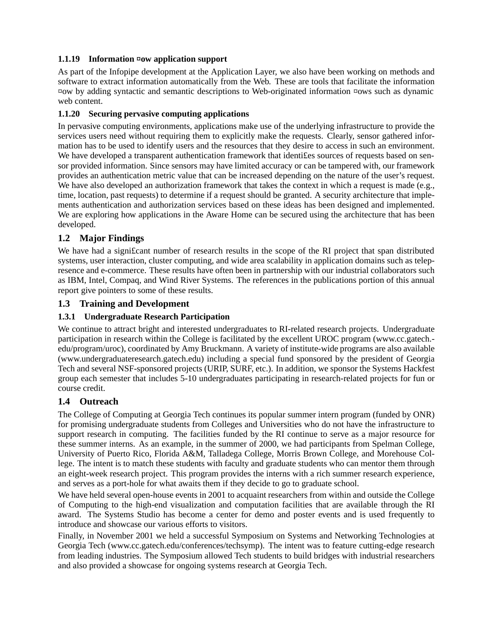### **1.1.19 Information ¤ow application support**

As part of the Infopipe development at the Application Layer, we also have been working on methods and software to extract information automatically from the Web. These are tools that facilitate the information ¤ow by adding syntactic and semantic descriptions to Web-originated information ¤ows such as dynamic web content.

#### **1.1.20 Securing pervasive computing applications**

In pervasive computing environments, applications make use of the underlying infrastructure to provide the services users need without requiring them to explicitly make the requests. Clearly, sensor gathered information has to be used to identify users and the resources that they desire to access in such an environment. We have developed a transparent authentication framework that identifies sources of requests based on sensor provided information. Since sensors may have limited accuracy or can be tampered with, our framework provides an authentication metric value that can be increased depending on the nature of the user's request. We have also developed an authorization framework that takes the context in which a request is made (e.g., time, location, past requests) to determine if a request should be granted. A security architecture that implements authentication and authorization services based on these ideas has been designed and implemented. We are exploring how applications in the Aware Home can be secured using the architecture that has been developed.

# **1.2 Major Findings**

We have had a significant number of research results in the scope of the RI project that span distributed systems, user interaction, cluster computing, and wide area scalability in application domains such as telepresence and e-commerce. These results have often been in partnership with our industrial collaborators such as IBM, Intel, Compaq, and Wind River Systems. The references in the publications portion of this annual report give pointers to some of these results.

#### **1.3 Training and Development**

### **1.3.1 Undergraduate Research Participation**

We continue to attract bright and interested undergraduates to RI-related research projects. Undergraduate participation in research within the College is facilitated by the excellent UROC program (www.cc.gatech. edu/program/uroc), coordinated by Amy Bruckmann. A variety of institute-wide programs are also available (www.undergraduateresearch.gatech.edu) including a special fund sponsored by the president of Georgia Tech and several NSF-sponsored projects (URIP, SURF, etc.). In addition, we sponsor the Systems Hackfest group each semester that includes 5-10 undergraduates participating in research-related projects for fun or course credit.

# **1.4 Outreach**

The College of Computing at Georgia Tech continues its popular summer intern program (funded by ONR) for promising undergraduate students from Colleges and Universities who do not have the infrastructure to support research in computing. The facilities funded by the RI continue to serve as a major resource for these summer interns. As an example, in the summer of 2000, we had participants from Spelman College, University of Puerto Rico, Florida A&M, Talladega College, Morris Brown College, and Morehouse College. The intent is to match these students with faculty and graduate students who can mentor them through an eight-week research project. This program provides the interns with a rich summer research experience, and serves as a port-hole for what awaits them if they decide to go to graduate school.

We have held several open-house events in 2001 to acquaint researchers from within and outside the College of Computing to the high-end visualization and computation facilities that are available through the RI award. The Systems Studio has become a center for demo and poster events and is used frequently to introduce and showcase our various efforts to visitors.

Finally, in November 2001 we held a successful Symposium on Systems and Networking Technologies at Georgia Tech (www.cc.gatech.edu/conferences/techsymp). The intent was to feature cutting-edge research from leading industries. The Symposium allowed Tech students to build bridges with industrial researchers and also provided a showcase for ongoing systems research at Georgia Tech.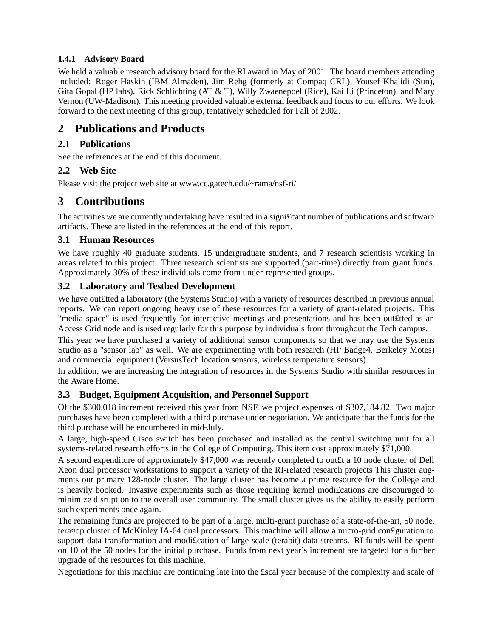# **1.4.1 Advisory Board**

We held a valuable research advisory board for the RI award in May of 2001. The board members attending included: Roger Haskin (IBM Almaden), Jim Rehg (formerly at Compaq CRL), Yousef Khalidi (Sun), Gita Gopal (HP labs), Rick Schlichting (AT & T), Willy Zwaenepoel (Rice), Kai Li (Princeton), and Mary Vernon (UW-Madison). This meeting provided valuable external feedback and focus to our efforts. We look forward to the next meeting of this group, tentatively scheduled for Fall of 2002.

# **2 Publications and Products**

# **2.1 Publications**

See the references at the end of this document.

# **2.2 Web Site**

Please visit the project web site at www.cc.gatech.edu/~rama/nsf-ri/

# **3 Contributions**

The activities we are currently undertaking have resulted in a signi£cant number of publications and software artifacts. These are listed in the references at the end of this report.

# **3.1 Human Resources**

We have roughly 40 graduate students, 15 undergraduate students, and 7 research scientists working in areas related to this project. Three research scientists are supported (part-time) directly from grant funds. Approximately 30% of these individuals come from under-represented groups.

# **3.2 Laboratory and Testbed Development**

We have out£tted a laboratory (the Systems Studio) with a variety of resources described in previous annual reports. We can report ongoing heavy use of these resources for a variety of grant-related projects. This "media space" is used frequently for interactive meetings and presentations and has been out£tted as an Access Grid node and is used regularly for this purpose by individuals from throughout the Tech campus.

This year we have purchased a variety of additional sensor components so that we may use the Systems Studio as a "sensor lab" as well. We are experimenting with both research (HP Badge4, Berkeley Motes) and commercial equipment (VersusTech location sensors, wireless temperature sensors).

In addition, we are increasing the integration of resources in the Systems Studio with similar resources in the Aware Home.

# **3.3 Budget, Equipment Acquisition, and Personnel Support**

Of the \$300,018 increment received this year from NSF, we project expenses of \$307,184.82. Two major purchases have been completed with a third purchase under negotiation. We anticipate that the funds for the third purchase will be encumbered in mid-July.

A large, high-speed Cisco switch has been purchased and installed as the central switching unit for all systems-related research efforts in the College of Computing. This item cost approximately \$71,000.

A second expenditure of approximately \$47,000 was recently completed to out£t a 10 node cluster of Dell Xeon dual processor workstations to support a variety of the RI-related research projects This cluster augments our primary 128-node cluster. The large cluster has become a prime resource for the College and is heavily booked. Invasive experiments such as those requiring kernel modi£cations are discouraged to minimize disruption to the overall user community. The small cluster gives us the ability to easily perform such experiments once again.

The remaining funds are projected to be part of a large, multi-grant purchase of a state-of-the-art, 50 node, tera¤op cluster of McKinley IA-64 dual processors. This machine will allow a micro-grid con£guration to support data transformation and modification of large scale (terabit) data streams. RI funds will be spent on 10 of the 50 nodes for the initial purchase. Funds from next year's increment are targeted for a further upgrade of the resources for this machine.

Negotiations for this machine are continuing late into the £scal year because of the complexity and scale of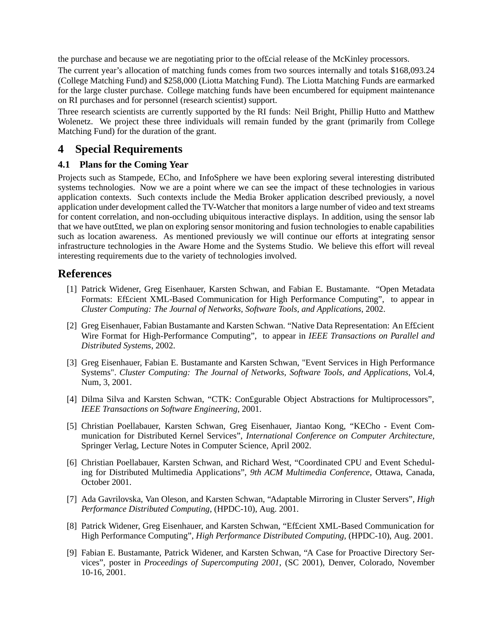the purchase and because we are negotiating prior to the of£cial release of the McKinley processors.

The current year's allocation of matching funds comes from two sources internally and totals \$168,093.24 (College Matching Fund) and \$258,000 (Liotta Matching Fund). The Liotta Matching Funds are earmarked for the large cluster purchase. College matching funds have been encumbered for equipment maintenance on RI purchases and for personnel (research scientist) support.

Three research scientists are currently supported by the RI funds: Neil Bright, Phillip Hutto and Matthew Wolenetz. We project these three individuals will remain funded by the grant (primarily from College Matching Fund) for the duration of the grant.

# **4 Special Requirements**

#### **4.1 Plans for the Coming Year**

Projects such as Stampede, ECho, and InfoSphere we have been exploring several interesting distributed systems technologies. Now we are a point where we can see the impact of these technologies in various application contexts. Such contexts include the Media Broker application described previously, a novel application under development called the TV-Watcher that monitors a large number of video and text streams for content correlation, and non-occluding ubiquitous interactive displays. In addition, using the sensor lab that we have out£tted, we plan on exploring sensor monitoring and fusion technologies to enable capabilities such as location awareness. As mentioned previously we will continue our efforts at integrating sensor infrastructure technologies in the Aware Home and the Systems Studio. We believe this effort will reveal interesting requirements due to the variety of technologies involved.

# **References**

- [1] Patrick Widener, Greg Eisenhauer, Karsten Schwan, and Fabian E. Bustamante. "Open Metadata Formats: Ef£cient XML-Based Communication for High Performance Computing", to appear in *Cluster Computing: The Journal of Networks, Software Tools, and Applications*, 2002.
- [2] Greg Eisenhauer, Fabian Bustamante and Karsten Schwan. "Native Data Representation: An Ef£cient Wire Format for High-Performance Computing", to appear in *IEEE Transactions on Parallel and Distributed Systems*, 2002.
- [3] Greg Eisenhauer, Fabian E. Bustamante and Karsten Schwan, "Event Services in High Performance Systems". *Cluster Computing: The Journal of Networks, Software Tools, and Applications*, Vol.4, Num, 3, 2001.
- [4] Dilma Silva and Karsten Schwan, "CTK: Con£gurable Object Abstractions for Multiprocessors", *IEEE Transactions on Software Engineering*, 2001.
- [5] Christian Poellabauer, Karsten Schwan, Greg Eisenhauer, Jiantao Kong, "KECho Event Communication for Distributed Kernel Services", *International Conference on Computer Architecture*, Springer Verlag, Lecture Notes in Computer Science, April 2002.
- [6] Christian Poellabauer, Karsten Schwan, and Richard West, "Coordinated CPU and Event Scheduling for Distributed Multimedia Applications", *9th ACM Multimedia Conference*, Ottawa, Canada, October 2001.
- [7] Ada Gavrilovska, Van Oleson, and Karsten Schwan, "Adaptable Mirroring in Cluster Servers", *High Performance Distributed Computing*, (HPDC-10), Aug. 2001.
- [8] Patrick Widener, Greg Eisenhauer, and Karsten Schwan, "Ef£cient XML-Based Communication for High Performance Computing", *High Performance Distributed Computing*, (HPDC-10), Aug. 2001.
- [9] Fabian E. Bustamante, Patrick Widener, and Karsten Schwan, "A Case for Proactive Directory Services", poster in *Proceedings of Supercomputing 2001*, (SC 2001), Denver, Colorado, November 10-16, 2001.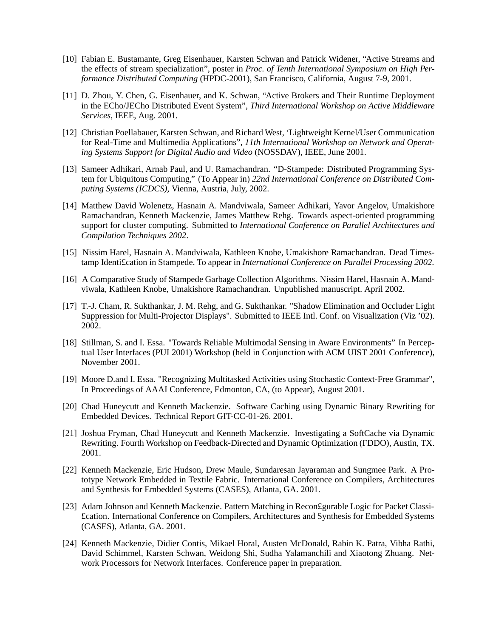- [10] Fabian E. Bustamante, Greg Eisenhauer, Karsten Schwan and Patrick Widener, "Active Streams and the effects of stream specialization", poster in *Proc. of Tenth International Symposium on High Performance Distributed Computing* (HPDC-2001), San Francisco, California, August 7-9, 2001.
- [11] D. Zhou, Y. Chen, G. Eisenhauer, and K. Schwan, "Active Brokers and Their Runtime Deployment in the ECho/JECho Distributed Event System", *Third International Workshop on Active Middleware Services*, IEEE, Aug. 2001.
- [12] Christian Poellabauer, Karsten Schwan, and Richard West, 'Lightweight Kernel/User Communication for Real-Time and Multimedia Applications", *11th International Workshop on Network and Operating Systems Support for Digital Audio and Video* (NOSSDAV), IEEE, June 2001.
- [13] Sameer Adhikari, Arnab Paul, and U. Ramachandran. "D-Stampede: Distributed Programming System for Ubiquitous Computing," (To Appear in) *22nd International Conference on Distributed Computing Systems (ICDCS),* Vienna, Austria, July, 2002.
- [14] Matthew David Wolenetz, Hasnain A. Mandviwala, Sameer Adhikari, Yavor Angelov, Umakishore Ramachandran, Kenneth Mackenzie, James Matthew Rehg. Towards aspect-oriented programming support for cluster computing. Submitted to *International Conference on Parallel Architectures and Compilation Techniques 2002*.
- [15] Nissim Harel, Hasnain A. Mandviwala, Kathleen Knobe, Umakishore Ramachandran. Dead Timestamp Identi£cation in Stampede. To appear in *International Conference on Parallel Processing 2002*.
- [16] A Comparative Study of Stampede Garbage Collection Algorithms. Nissim Harel, Hasnain A. Mandviwala, Kathleen Knobe, Umakishore Ramachandran. Unpublished manuscript. April 2002.
- [17] T.-J. Cham, R. Sukthankar, J. M. Rehg, and G. Sukthankar. "Shadow Elimination and Occluder Light Suppression for Multi-Projector Displays". Submitted to IEEE Intl. Conf. on Visualization (Viz '02). 2002.
- [18] Stillman, S. and I. Essa. "Towards Reliable Multimodal Sensing in Aware Environments" In Perceptual User Interfaces (PUI 2001) Workshop (held in Conjunction with ACM UIST 2001 Conference), November 2001.
- [19] Moore D.and I. Essa. "Recognizing Multitasked Activities using Stochastic Context-Free Grammar", In Proceedings of AAAI Conference, Edmonton, CA, (to Appear), August 2001.
- [20] Chad Huneycutt and Kenneth Mackenzie. Software Caching using Dynamic Binary Rewriting for Embedded Devices. Technical Report GIT-CC-01-26. 2001.
- [21] Joshua Fryman, Chad Huneycutt and Kenneth Mackenzie. Investigating a SoftCache via Dynamic Rewriting. Fourth Workshop on Feedback-Directed and Dynamic Optimization (FDDO), Austin, TX. 2001.
- [22] Kenneth Mackenzie, Eric Hudson, Drew Maule, Sundaresan Jayaraman and Sungmee Park. A Prototype Network Embedded in Textile Fabric. International Conference on Compilers, Architectures and Synthesis for Embedded Systems (CASES), Atlanta, GA. 2001.
- [23] Adam Johnson and Kenneth Mackenzie. Pattern Matching in Recon£gurable Logic for Packet Classi- £cation. International Conference on Compilers, Architectures and Synthesis for Embedded Systems (CASES), Atlanta, GA. 2001.
- [24] Kenneth Mackenzie, Didier Contis, Mikael Horal, Austen McDonald, Rabin K. Patra, Vibha Rathi, David Schimmel, Karsten Schwan, Weidong Shi, Sudha Yalamanchili and Xiaotong Zhuang. Network Processors for Network Interfaces. Conference paper in preparation.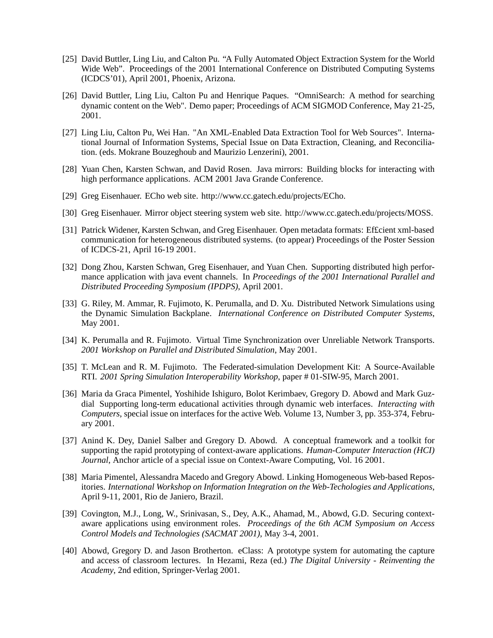- [25] David Buttler, Ling Liu, and Calton Pu. "A Fully Automated Object Extraction System for the World Wide Web". Proceedings of the 2001 International Conference on Distributed Computing Systems (ICDCS'01), April 2001, Phoenix, Arizona.
- [26] David Buttler, Ling Liu, Calton Pu and Henrique Paques. "OmniSearch: A method for searching dynamic content on the Web". Demo paper; Proceedings of ACM SIGMOD Conference, May 21-25, 2001.
- [27] Ling Liu, Calton Pu, Wei Han. "An XML-Enabled Data Extraction Tool for Web Sources". International Journal of Information Systems, Special Issue on Data Extraction, Cleaning, and Reconciliation. (eds. Mokrane Bouzeghoub and Maurizio Lenzerini), 2001.
- [28] Yuan Chen, Karsten Schwan, and David Rosen. Java mirrors: Building blocks for interacting with high performance applications. ACM 2001 Java Grande Conference.
- [29] Greg Eisenhauer. ECho web site. http://www.cc.gatech.edu/projects/ECho.
- [30] Greg Eisenhauer. Mirror object steering system web site. http://www.cc.gatech.edu/projects/MOSS.
- [31] Patrick Widener, Karsten Schwan, and Greg Eisenhauer. Open metadata formats: Ef£cient xml-based communication for heterogeneous distributed systems. (to appear) Proceedings of the Poster Session of ICDCS-21, April 16-19 2001.
- [32] Dong Zhou, Karsten Schwan, Greg Eisenhauer, and Yuan Chen. Supporting distributed high performance application with java event channels. In *Proceedings of the 2001 International Parallel and Distributed Proceeding Symposium (IPDPS)*, April 2001.
- [33] G. Riley, M. Ammar, R. Fujimoto, K. Perumalla, and D. Xu. Distributed Network Simulations using the Dynamic Simulation Backplane. *International Conference on Distributed Computer Systems*, May 2001.
- [34] K. Perumalla and R. Fujimoto. Virtual Time Synchronization over Unreliable Network Transports. *2001 Workshop on Parallel and Distributed Simulation*, May 2001.
- [35] T. McLean and R. M. Fujimoto. The Federated-simulation Development Kit: A Source-Available RTI. *2001 Spring Simulation Interoperability Workshop*, paper # 01-SIW-95, March 2001.
- [36] Maria da Graca Pimentel, Yoshihide Ishiguro, Bolot Kerimbaev, Gregory D. Abowd and Mark Guzdial Supporting long-term educational activities through dynamic web interfaces. *Interacting with Computers*, special issue on interfaces for the active Web. Volume 13, Number 3, pp. 353-374, February 2001.
- [37] Anind K. Dey, Daniel Salber and Gregory D. Abowd. A conceptual framework and a toolkit for supporting the rapid prototyping of context-aware applications. *Human-Computer Interaction (HCI) Journal*, Anchor article of a special issue on Context-Aware Computing, Vol. 16 2001.
- [38] Maria Pimentel, Alessandra Macedo and Gregory Abowd. Linking Homogeneous Web-based Repositories. *International Workshop on Information Integration on the Web-Techologies and Applications*, April 9-11, 2001, Rio de Janiero, Brazil.
- [39] Covington, M.J., Long, W., Srinivasan, S., Dey, A.K., Ahamad, M., Abowd, G.D. Securing contextaware applications using environment roles. *Proceedings of the 6th ACM Symposium on Access Control Models and Technologies (SACMAT 2001)*, May 3-4, 2001.
- [40] Abowd, Gregory D. and Jason Brotherton. eClass: A prototype system for automating the capture and access of classroom lectures. In Hezami, Reza (ed.) *The Digital University - Reinventing the Academy*, 2nd edition, Springer-Verlag 2001.